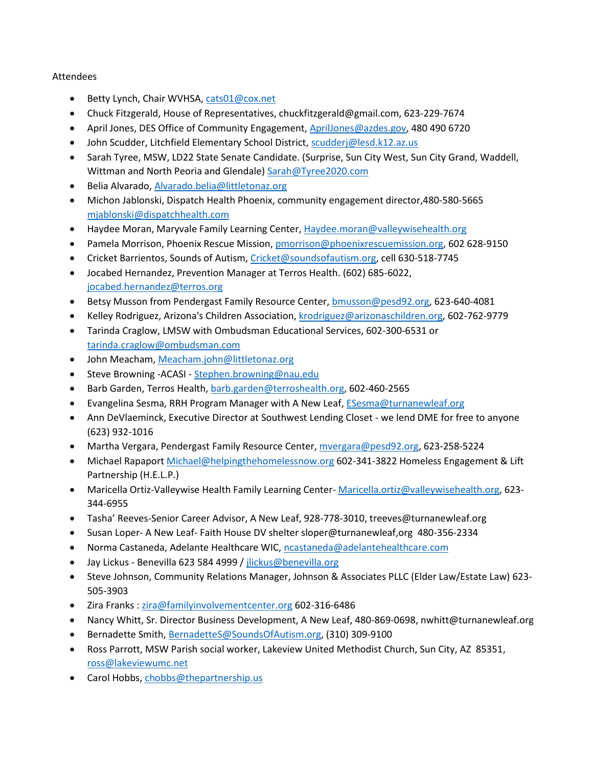## Attendees

- Betty Lynch, Chair WVHSA[, cats01@cox.net](mailto:cats01@cox.net)
- Chuck Fitzgerald, House of Representatives, chuckfitzgerald@gmail.com, 623-229-7674
- April Jones, DES Office of Community Engagement[, AprilJones@azdes.gov,](mailto:AprilJones@azdes.gov) 480 490 6720
- John Scudder, Litchfield Elementary School District, [scudderj@lesd.k12.az.us](mailto:scudderj@lesd.k12.az.us)
- Sarah Tyree, MSW, LD22 State Senate Candidate. (Surprise, Sun City West, Sun City Grand, Waddell, Wittman and North Peoria and Glendale) [Sarah@Tyree2020.com](mailto:Sarah@Tyree2020.com)
- Belia Alvarado, [Alvarado.belia@littletonaz.org](mailto:Alvarado.belia@littletonaz.org)
- Michon Jablonski, Dispatch Health Phoenix, community engagement director,480-580-5665 [mjablonski@dispatchhealth.com](mailto:mjablonski@dispatchhealth.com)
- Haydee Moran, Maryvale Family Learning Center, [Haydee.moran@valleywisehealth.org](mailto:Haydee.moran@valleywisehealth.org)
- Pamela Morrison, Phoenix Rescue Mission, [pmorrison@phoenixrescuemission.org,](mailto:pmorrison@phoenixrescuemission.org) 602 628-9150
- Cricket Barrientos, Sounds of Autism, [Cricket@soundsofautism.org,](mailto:Cricket@soundsofautism.org) cell 630-518-7745
- Jocabed Hernandez, Prevention Manager at Terros Health. (602) 685-6022, [jocabed.hernandez@terros.org](mailto:jocabed.hernandez@terros.org)
- Betsy Musson from Pendergast Family Resource Center[, bmusson@pesd92.org,](mailto:bmusson@pesd92.org) 623-640-4081
- Kelley Rodriguez, Arizona's Children Association, [krodriguez@arizonaschildren.org,](mailto:krodriguez@arizonaschildren.org) 602-762-9779
- Tarinda Craglow, LMSW with Ombudsman Educational Services, 602-300-6531 or [tarinda.craglow@ombudsman.com](mailto:tarinda.craglow@ombudsman.com)
- John Meacham, [Meacham.john@littletonaz.org](mailto:Meacham.john@littletonaz.org)
- Steve Browning -ACASI [Stephen.browning@nau.edu](mailto:Stephen.browning@nau.edu)
- Barb Garden, Terros Health[, barb.garden@terroshealth.org,](mailto:barb.garden@terroshealth.org) 602-460-2565
- Evangelina Sesma, RRH Program Manager with A New Leaf, [ESesma@turnanewleaf.org](mailto:ESesma@turnanewleaf.org)
- Ann DeVlaeminck, Executive Director at Southwest Lending Closet we lend DME for free to anyone (623) 932-1016
- Martha Vergara, Pendergast Family Resource Center, [mvergara@pesd92.org,](mailto:mvergara@pesd92.org) 623-258-5224
- Michael Rapaport [Michael@helpingthehomelessnow.org](mailto:Michael@helpingthehomelessnow.org) 602-341-3822 Homeless Engagement & Lift Partnership (H.E.L.P.)
- Maricella Ortiz-Valleywise Health Family Learning Center- [Maricella.ortiz@valleywisehealth.org,](mailto:Maricella.ortiz@valleywisehealth.org) 623-344-6955
- Tasha' Reeves-Senior Career Advisor, A New Leaf, 928-778-3010, treeves@turnanewleaf.org
- Susan Loper- A New Leaf- Faith House DV shelter sloper@turnanewleaf,org 480-356-2334
- Norma Castaneda, Adelante Healthcare WIC, [ncastaneda@adelantehealthcare.com](mailto:ncastaneda@adelantehealthcare.com)
- Jay Lickus Benevilla 623 584 4999 / [jlickus@benevilla.org](mailto:jlickus@benevilla.org)
- Steve Johnson, Community Relations Manager, Johnson & Associates PLLC (Elder Law/Estate Law) 623- 505-3903
- Zira Franks [: zira@familyinvolvementcenter.org](mailto:zira@familyinvolvementcenter.org) 602-316-6486
- Nancy Whitt, Sr. Director Business Development, A New Leaf, 480-869-0698, nwhitt@turnanewleaf.org
- Bernadette Smith, [BernadetteS@SoundsOfAutism.org,](mailto:BernadetteS@SoundsOfAutism.org) (310) 309-9100
- Ross Parrott, MSW Parish social worker, Lakeview United Methodist Church, Sun City, AZ 85351, [ross@lakeviewumc.net](mailto:ross@lakeviewumc.net)
- Carol Hobbs[, chobbs@thepartnership.us](mailto:chobbs@thepartnership.us)